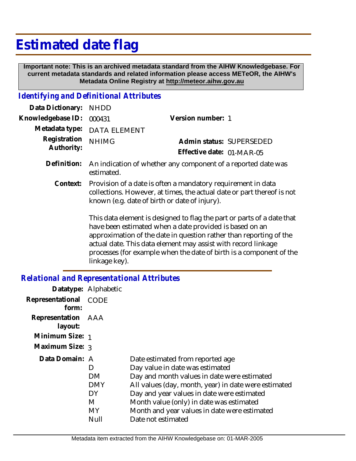## **Estimated date flag**

 **Important note: This is an archived metadata standard from the AIHW Knowledgebase. For current metadata standards and related information please access METeOR, the AIHW's Metadata Online Registry at http://meteor.aihw.gov.au**

## *Identifying and Definitional Attributes*

| Data Dictionary: NHDD            |                                                                                                                                                                                                                                   |                           |                          |
|----------------------------------|-----------------------------------------------------------------------------------------------------------------------------------------------------------------------------------------------------------------------------------|---------------------------|--------------------------|
| Knowledgebase ID: 000431         |                                                                                                                                                                                                                                   | Version number: 1         |                          |
|                                  | Metadata type: DATA ELEMENT                                                                                                                                                                                                       |                           |                          |
| Registration NHIMG<br>Authority: |                                                                                                                                                                                                                                   |                           | Admin status: SUPERSEDED |
|                                  |                                                                                                                                                                                                                                   | Effective date: 01-MAR-05 |                          |
|                                  | $\mathbf{D}$ of the late of the contract of the contract of the contract of the contract of the contract of the contract of the contract of the contract of the contract of the contract of the contract of the contract of the c |                           |                          |

- Definition: An indication of whether any component of a reported date was estimated.
	- Provision of a date is often a mandatory requirement in data collections. However, at times, the actual date or part thereof is not known (e.g. date of birth or date of injury). **Context:**

This data element is designed to flag the part or parts of a date that have been estimated when a date provided is based on an approximation of the date in question rather than reporting of the actual date. This data element may assist with record linkage processes (for example when the date of birth is a component of the linkage key).

## *Relational and Representational Attributes*

|                               | Datatype: Alphabetic                      |                                                                                                                                                                                                                                                                                                                                            |
|-------------------------------|-------------------------------------------|--------------------------------------------------------------------------------------------------------------------------------------------------------------------------------------------------------------------------------------------------------------------------------------------------------------------------------------------|
| Representational<br>form:     | CODE                                      |                                                                                                                                                                                                                                                                                                                                            |
| Representation AAA<br>layout: |                                           |                                                                                                                                                                                                                                                                                                                                            |
| Minimum Size: 1               |                                           |                                                                                                                                                                                                                                                                                                                                            |
| Maximum Size: 3               |                                           |                                                                                                                                                                                                                                                                                                                                            |
| Data Domain: A                | D<br>DM.<br>DMY<br>DΥ<br>M<br>MY.<br>Null | Date estimated from reported age<br>Day value in date was estimated<br>Day and month values in date were estimated<br>All values (day, month, year) in date were estimated<br>Day and year values in date were estimated<br>Month value (only) in date was estimated<br>Month and year values in date were estimated<br>Date not estimated |